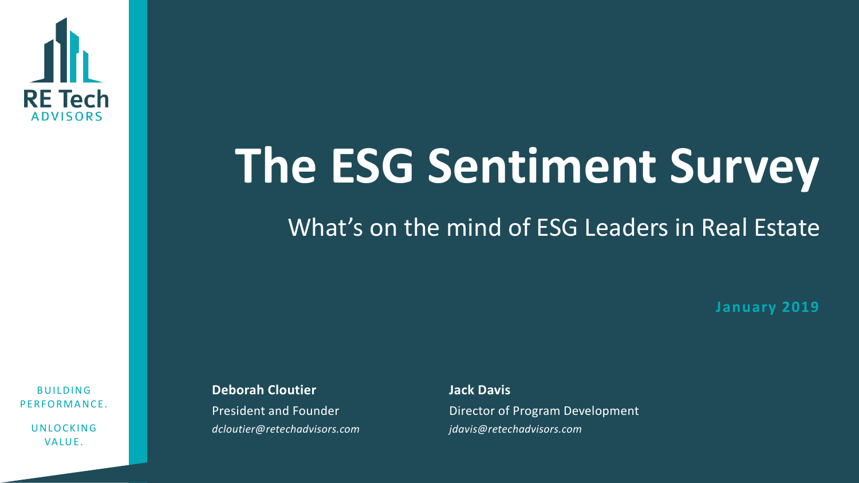

# **The ESG Sentiment Survey**

#### What's on the mind of ESG Leaders in Real Estate

**January 2019**

**BUILDING** PERFORMANCE.

> **UNLOCKING** VALUE.

**Deborah Cloutier** President and Founder *dcloutier@retechadvisors.com*

**Jack Davis** Director of Program Development *jdavis@retechadvisors.com*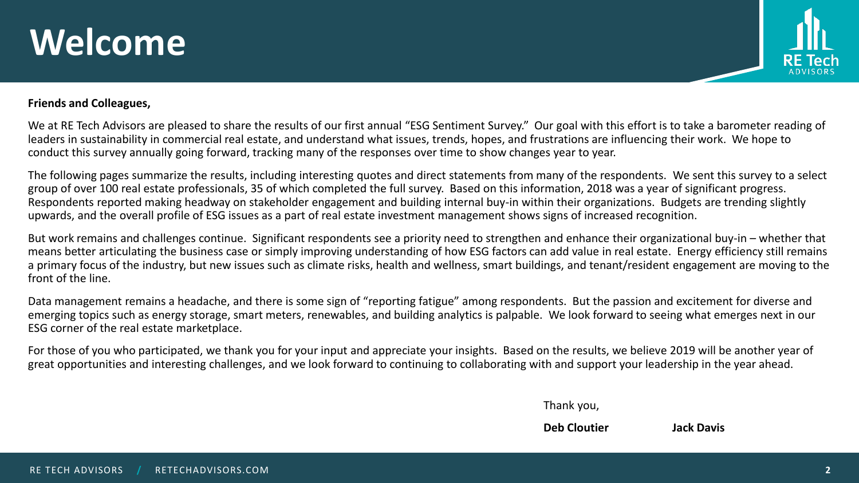### **Welcome**



#### **Friends and Colleagues,**

We at RE Tech Advisors are pleased to share the results of our first annual "ESG Sentiment Survey." Our goal with this effort is to take a barometer reading of leaders in sustainability in commercial real estate, and understand what issues, trends, hopes, and frustrations are influencing their work. We hope to conduct this survey annually going forward, tracking many of the responses over time to show changes year to year.

The following pages summarize the results, including interesting quotes and direct statements from many of the respondents. We sent this survey to a select group of over 100 real estate professionals, 35 of which completed the full survey. Based on this information, 2018 was a year of significant progress. Respondents reported making headway on stakeholder engagement and building internal buy-in within their organizations. Budgets are trending slightly upwards, and the overall profile of ESG issues as a part of real estate investment management shows signs of increased recognition.

But work remains and challenges continue. Significant respondents see a priority need to strengthen and enhance their organizational buy-in – whether that means better articulating the business case or simply improving understanding of how ESG factors can add value in real estate. Energy efficiency still remains a primary focus of the industry, but new issues such as climate risks, health and wellness, smart buildings, and tenant/resident engagement are moving to the front of the line.

Data management remains a headache, and there is some sign of "reporting fatigue" among respondents. But the passion and excitement for diverse and emerging topics such as energy storage, smart meters, renewables, and building analytics is palpable. We look forward to seeing what emerges next in our ESG corner of the real estate marketplace.

For those of you who participated, we thank you for your input and appreciate your insights. Based on the results, we believe 2019 will be another year of great opportunities and interesting challenges, and we look forward to continuing to collaborating with and support your leadership in the year ahead.

Thank you,

**Deb Cloutier Jack Davis**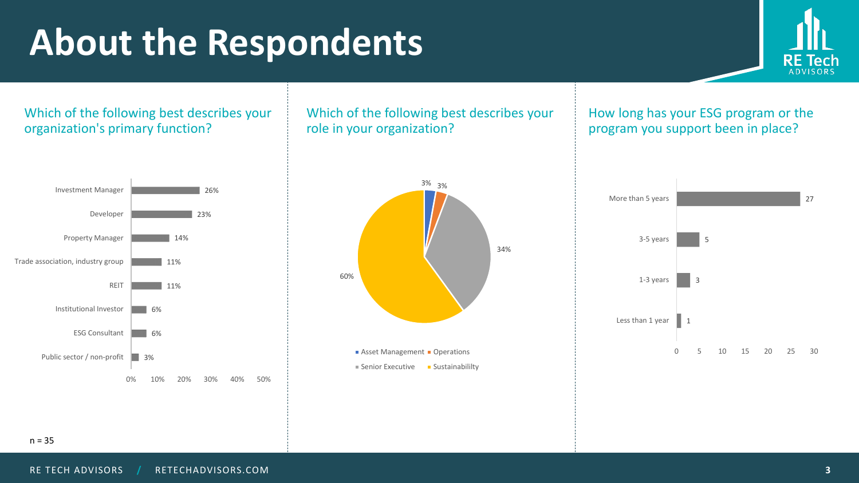### **About the Respondents**



Which of the following best describes your organization's primary function?



Which of the following best describes your role in your organization?

How long has your ESG program or the program you support been in place?



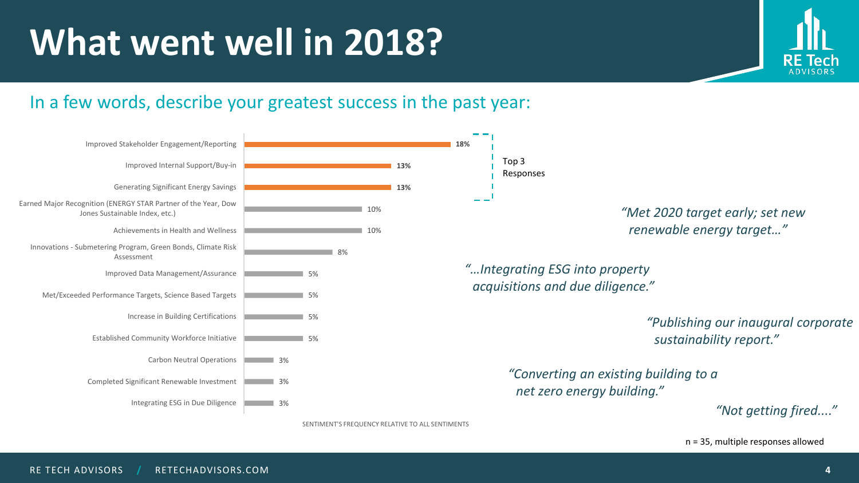

#### In a few words, describe your greatest success in the past year:



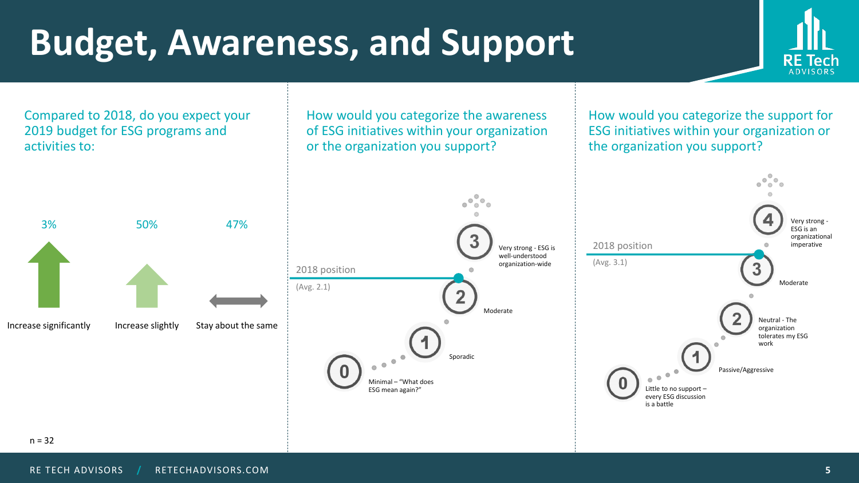## **Budget, Awareness, and Support**



Compared to 2018, do you expect your How would you categorize the awareness How would you categorize the support for of ESG initiatives within your organization 2019 budget for ESG programs and ESG initiatives within your organization or activities to: or the organization you support? the organization you support?  $\bullet$  $\bullet$  $\bullet$   $\bullet$ Very strong - 3% 50% 47% ESG is an organizational 2018 position imperative Very strong - ESG is well-understood (Avg. 3.1)organization-wide 2018 position Moderate (Avg. 2.1)  $\overline{2}$ Moderate Neutral - The Increase significantly Increase slightly Stay about the same organization tolerates my ESG work Sporadic Passive/Aggressive Minimal – "What does Little to no support – ESG mean again?" every ESG discussion is a battle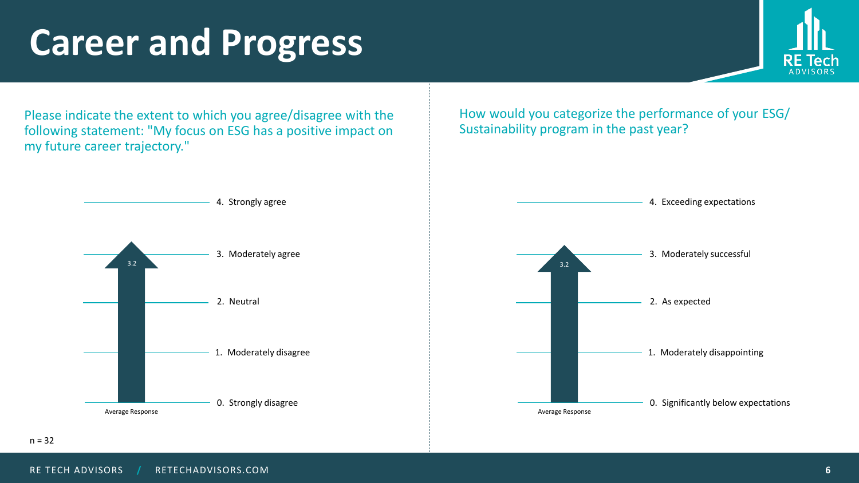### **Career and Progress**



Please indicate the extent to which you agree/disagree with the following statement: "My focus on ESG has a positive impact on my future career trajectory."

How would you categorize the performance of your ESG/ Sustainability program in the past year?

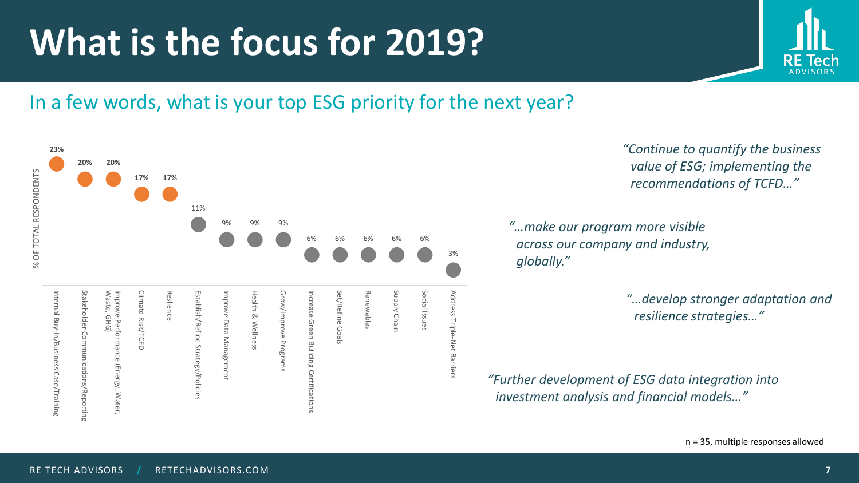#### **What is the focus for 2019?**

#### In a few words, what is your top ESG priority for the next year?

**23% 20% 20%** % OF TOTAL RESPONDENTS % OF TOTAL RESPONDENTS **17% 17%** 11% 9% 9% 9% 6% 6% 6% 6% 6% 3% Waste, Supply Chain Internal Buy-In/Business Case/Training Internal Buy-In/Business Case/Training Stakeholder Commun Stakeholder Communications/Reporting Waste, GHG) Improve Performance (Energy, Water, Climate Risk/TCFD Reslience Reslience Establish/Refine Strategy/Policies Improve Data Management Health & Wellness Grow/Improve Programs Increase Green Building Certifications Increase Green Building Certifications Set/Refine Goals Renewables Renewables Supply Chain Social Issues Social Issues Address Triple-Net Barriers Climate Risk/TCFD Establish/Refine Strategy/Policies Grow/Improve Programs Set/Refine Goals mprove Performance (Energy, Water, mprove Data Management **Health & Wellness Address** GHG) Triple-Net Barriers ications/Reporting

*"Continue to quantify the business value of ESG; implementing the recommendations of TCFD…"*

*"…make our program more visible across our company and industry, globally."*

> *"…develop stronger adaptation and resilience strategies…"*

*"Further development of ESG data integration into investment analysis and financial models…"*

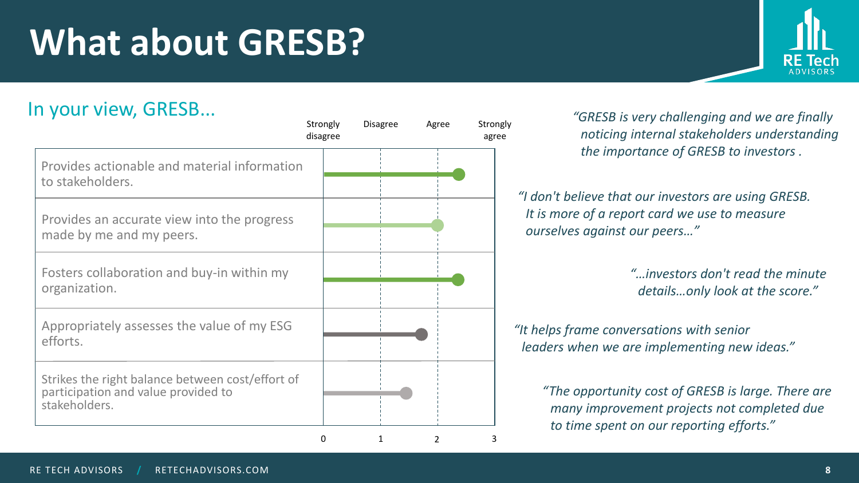#### RE TECH ADVISORS **/** RETECHADVISORS.COM **8**

## **What about GRESB?**

In your view, GRESB...

|                                                                                                          | Strongly<br>disagree | <b>Disagree</b> | Agree | Strongly<br>agree |
|----------------------------------------------------------------------------------------------------------|----------------------|-----------------|-------|-------------------|
| Provides actionable and material information<br>to stakeholders.                                         |                      |                 |       |                   |
| Provides an accurate view into the progress<br>made by me and my peers.                                  |                      |                 |       |                   |
| Fosters collaboration and buy-in within my<br>organization.                                              |                      |                 |       |                   |
| Appropriately assesses the value of my ESG<br>efforts.                                                   |                      |                 |       |                   |
| Strikes the right balance between cost/effort of<br>participation and value provided to<br>stakeholders. |                      |                 |       |                   |
|                                                                                                          | 0                    | 1               | 2     | 3                 |

*"GRESB is very challenging and we are finally noticing internal stakeholders understanding the importance of GRESB to investors .* 

*"I don't believe that our investors are using GRESB. It is more of a report card we use to measure ourselves against our peers…"*

> *"…investors don't read the minute details…only look at the score."*

*"It helps frame conversations with senior leaders when we are implementing new ideas."*

> *"The opportunity cost of GRESB is large. There are many improvement projects not completed due to time spent on our reporting efforts."*

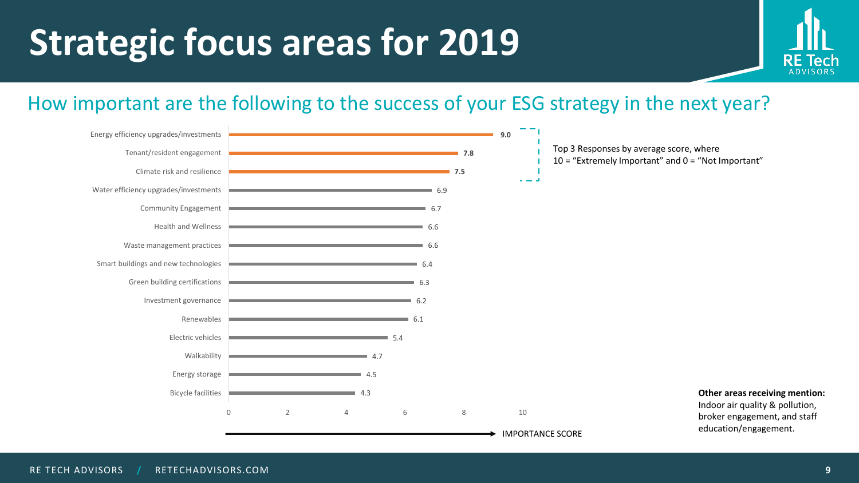## **Strategic focus areas for 2019**



#### How important are the following to the success of your ESG strategy in the next year?

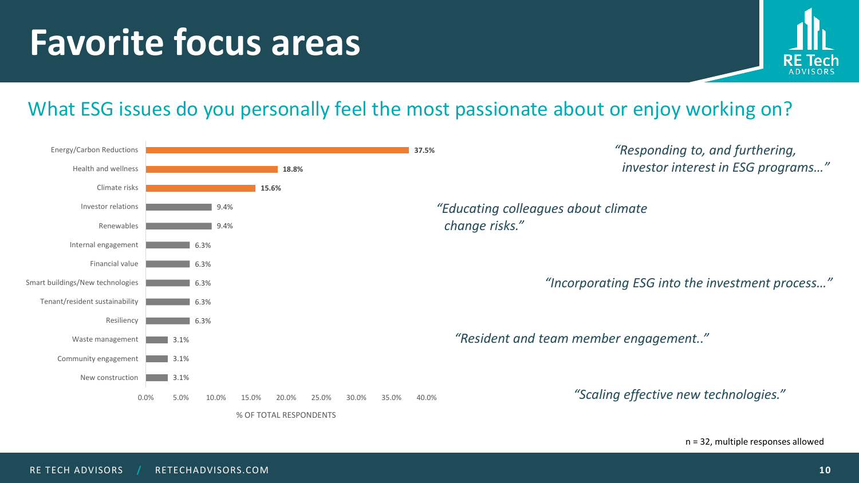### **Favorite focus areas**



#### What ESG issues do you personally feel the most passionate about or enjoy working on?

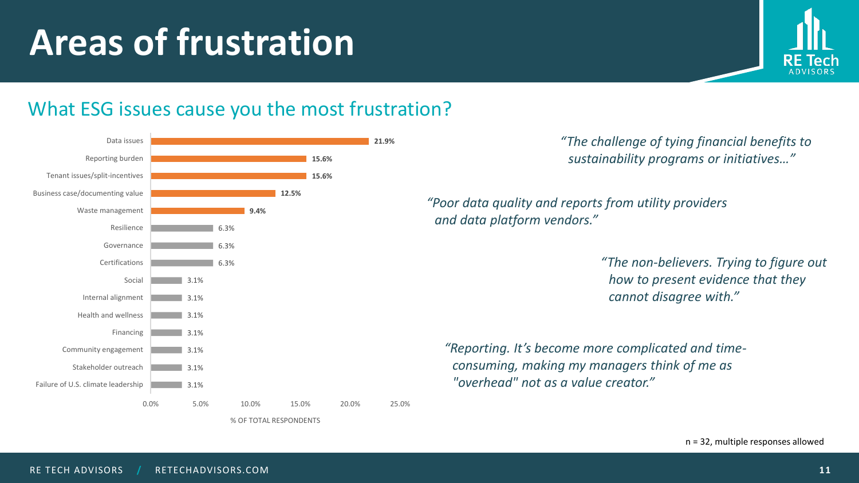## **Areas of frustration**



#### What ESG issues cause you the most frustration?

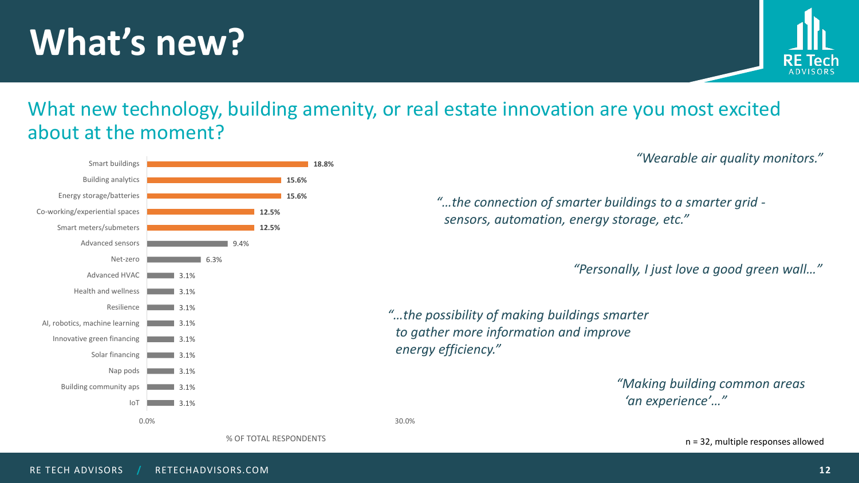### **What's new?**



#### What new technology, building amenity, or real estate innovation are you most excited about at the moment?